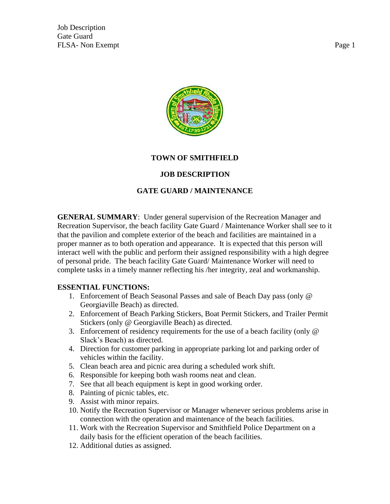Job Description Gate Guard FLSA- Non Exempt Page 1



## **TOWN OF SMITHFIELD**

### **JOB DESCRIPTION**

## **GATE GUARD / MAINTENANCE**

**GENERAL SUMMARY**: Under general supervision of the Recreation Manager and Recreation Supervisor, the beach facility Gate Guard / Maintenance Worker shall see to it that the pavilion and complete exterior of the beach and facilities are maintained in a proper manner as to both operation and appearance. It is expected that this person will interact well with the public and perform their assigned responsibility with a high degree of personal pride. The beach facility Gate Guard/ Maintenance Worker will need to complete tasks in a timely manner reflecting his /her integrity, zeal and workmanship.

#### **ESSENTIAL FUNCTIONS:**

- 1. Enforcement of Beach Seasonal Passes and sale of Beach Day pass (only @ Georgiaville Beach) as directed.
- 2. Enforcement of Beach Parking Stickers, Boat Permit Stickers, and Trailer Permit Stickers (only @ Georgiaville Beach) as directed.
- 3. Enforcement of residency requirements for the use of a beach facility (only @ Slack's Beach) as directed.
- 4. Direction for customer parking in appropriate parking lot and parking order of vehicles within the facility.
- 5. Clean beach area and picnic area during a scheduled work shift.
- 6. Responsible for keeping both wash rooms neat and clean.
- 7. See that all beach equipment is kept in good working order.
- 8. Painting of picnic tables, etc.
- 9. Assist with minor repairs.
- 10. Notify the Recreation Supervisor or Manager whenever serious problems arise in connection with the operation and maintenance of the beach facilities.
- 11. Work with the Recreation Supervisor and Smithfield Police Department on a daily basis for the efficient operation of the beach facilities.
- 12. Additional duties as assigned.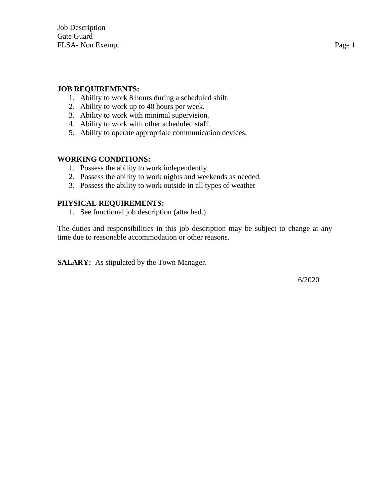#### **JOB REQUIREMENTS:**

- 1. Ability to work 8 hours during a scheduled shift.
- 2. Ability to work up to 40 hours per week.
- 3. Ability to work with minimal supervision.
- 4. Ability to work with other scheduled staff.
- 5. Ability to operate appropriate communication devices.

#### **WORKING CONDITIONS:**

- 1. Possess the ability to work independently.
- 2. Possess the ability to work nights and weekends as needed.
- 3. Possess the ability to work outside in all types of weather

#### **PHYSICAL REQUIREMENTS:**

1. See functional job description (attached.)

The duties and responsibilities in this job description may be subject to change at any time due to reasonable accommodation or other reasons.

**SALARY:** As stipulated by the Town Manager.

6/2020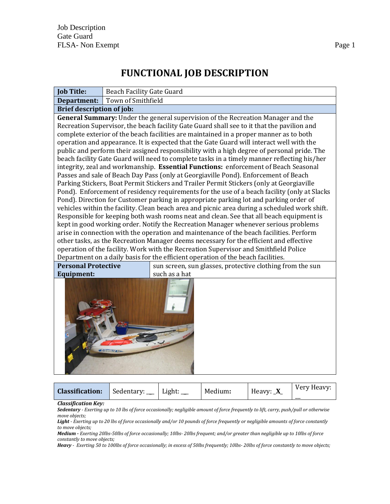# **FUNCTIONAL JOB DESCRIPTION**

| <b>Job Title:</b>                | <b>Beach Facility Gate Guard</b>                                                                                                                                                                                                                                                                                                                                                                                                                                                                                                                                                                                                                                                                                                                                                                                                                                                                                                                                                                                                                                                                                                                                                                                                                                                                                                                                                                                                                                                                                                                                                                                                                                                                                                                      |  |  |  |  |  |  |
|----------------------------------|-------------------------------------------------------------------------------------------------------------------------------------------------------------------------------------------------------------------------------------------------------------------------------------------------------------------------------------------------------------------------------------------------------------------------------------------------------------------------------------------------------------------------------------------------------------------------------------------------------------------------------------------------------------------------------------------------------------------------------------------------------------------------------------------------------------------------------------------------------------------------------------------------------------------------------------------------------------------------------------------------------------------------------------------------------------------------------------------------------------------------------------------------------------------------------------------------------------------------------------------------------------------------------------------------------------------------------------------------------------------------------------------------------------------------------------------------------------------------------------------------------------------------------------------------------------------------------------------------------------------------------------------------------------------------------------------------------------------------------------------------------|--|--|--|--|--|--|
| Department:                      | Town of Smithfield                                                                                                                                                                                                                                                                                                                                                                                                                                                                                                                                                                                                                                                                                                                                                                                                                                                                                                                                                                                                                                                                                                                                                                                                                                                                                                                                                                                                                                                                                                                                                                                                                                                                                                                                    |  |  |  |  |  |  |
| <b>Brief description of job:</b> |                                                                                                                                                                                                                                                                                                                                                                                                                                                                                                                                                                                                                                                                                                                                                                                                                                                                                                                                                                                                                                                                                                                                                                                                                                                                                                                                                                                                                                                                                                                                                                                                                                                                                                                                                       |  |  |  |  |  |  |
| <b>Personal Protective</b>       | General Summary: Under the general supervision of the Recreation Manager and the<br>Recreation Supervisor, the beach facility Gate Guard shall see to it that the pavilion and<br>complete exterior of the beach facilities are maintained in a proper manner as to both<br>operation and appearance. It is expected that the Gate Guard will interact well with the<br>public and perform their assigned responsibility with a high degree of personal pride. The<br>beach facility Gate Guard will need to complete tasks in a timely manner reflecting his/her<br>integrity, zeal and workmanship. Essential Functions: enforcement of Beach Seasonal<br>Passes and sale of Beach Day Pass (only at Georgiaville Pond). Enforcement of Beach<br>Parking Stickers, Boat Permit Stickers and Trailer Permit Stickers (only at Georgiaville<br>Pond). Enforcement of residency requirements for the use of a beach facility (only at Slacks<br>Pond). Direction for Customer parking in appropriate parking lot and parking order of<br>vehicles within the facility. Clean beach area and picnic area during a scheduled work shift.<br>Responsible for keeping both wash rooms neat and clean. See that all beach equipment is<br>kept in good working order. Notify the Recreation Manager whenever serious problems<br>arise in connection with the operation and maintenance of the beach facilities. Perform<br>other tasks, as the Recreation Manager deems necessary for the efficient and effective<br>operation of the facility. Work with the Recreation Supervisor and Smithfield Police<br>Department on a daily basis for the efficient operation of the beach facilities.<br>sun screen, sun glasses, protective clothing from the sun |  |  |  |  |  |  |
| <b>Equipment:</b>                | such as a hat                                                                                                                                                                                                                                                                                                                                                                                                                                                                                                                                                                                                                                                                                                                                                                                                                                                                                                                                                                                                                                                                                                                                                                                                                                                                                                                                                                                                                                                                                                                                                                                                                                                                                                                                         |  |  |  |  |  |  |

| <b>Classification:</b> | Sedentary: | Light: | Medium: | Heavy: $X$ | Very Heavy:<br>__ |
|------------------------|------------|--------|---------|------------|-------------------|
|                        |            |        |         |            |                   |

*Classification Key:*

*Sedentary - Exerting up to 10 lbs of force occasionally; negligible amount of force frequently to lift, carry, push/pull or otherwise move objects;* 

*Light - Exerting up to 20 lbs of force occasionally and/or 10 pounds of force frequently or negligible amounts of force constantly to move objects;* 

*Medium - Exerting 20lbs-50lbs of force occasionally; 10lbs- 20lbs frequent; and/or greater than negligible up to 10lbs of force constantly to move objects;* 

*Heavy - Exerting 50 to 100lbs of force occasionally; in excess of 50lbs frequently; 10lbs- 20lbs of force constantly to move objects;*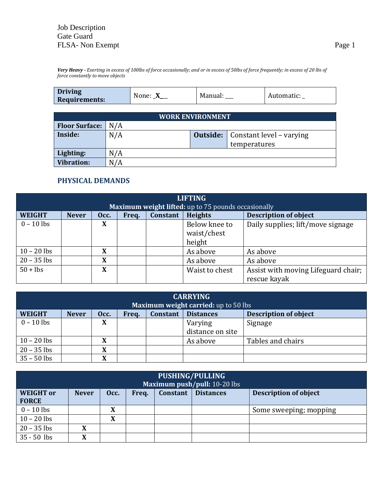*Very Heavy - Exerting in excess of 100lbs of force occasionally; and or in excess of 50lbs of force frequently; in excess of 20 lbs of force constantly to move objects*

| <b>Driving</b><br>Manual:<br>None:<br>Automatic:<br>$\Lambda$<br><b>Requirements:</b> |
|---------------------------------------------------------------------------------------|
|---------------------------------------------------------------------------------------|

| <b>WORK ENVIRONMENT</b> |     |  |                                            |  |  |  |  |
|-------------------------|-----|--|--------------------------------------------|--|--|--|--|
| <b>Floor Surface:</b>   | N/A |  |                                            |  |  |  |  |
| Inside:                 | N/A |  | <b>Outside:</b>   Constant level – varying |  |  |  |  |
|                         |     |  | temperatures                               |  |  |  |  |
| Lighting:               | N/A |  |                                            |  |  |  |  |
| <b>Vibration:</b>       | N/A |  |                                            |  |  |  |  |

#### **PHYSICAL DEMANDS**

| <b>LIFTING</b>                                      |              |      |       |                 |                              |                                                     |  |  |
|-----------------------------------------------------|--------------|------|-------|-----------------|------------------------------|-----------------------------------------------------|--|--|
| Maximum weight lifted: up to 75 pounds occasionally |              |      |       |                 |                              |                                                     |  |  |
| <b>WEIGHT</b>                                       | <b>Never</b> | Occ. | Freq. | <b>Constant</b> | <b>Heights</b>               | <b>Description of object</b>                        |  |  |
| $0 - 10$ lbs                                        |              | X    |       |                 | Below knee to<br>waist/chest | Daily supplies; lift/move signage                   |  |  |
|                                                     |              |      |       |                 | height                       |                                                     |  |  |
| $10 - 20$ lbs                                       |              | X    |       |                 | As above                     | As above                                            |  |  |
| $20 - 35$ lbs                                       |              | X    |       |                 | As above                     | As above                                            |  |  |
| $50 +$ lbs                                          |              | X    |       |                 | Waist to chest               | Assist with moving Lifeguard chair;<br>rescue kayak |  |  |

| <b>CARRYING</b>                      |                                                                                                      |        |  |  |                  |                   |  |  |
|--------------------------------------|------------------------------------------------------------------------------------------------------|--------|--|--|------------------|-------------------|--|--|
| Maximum weight carried: up to 50 lbs |                                                                                                      |        |  |  |                  |                   |  |  |
| <b>WEIGHT</b>                        | <b>Description of object</b><br><b>Constant</b><br><b>Distances</b><br><b>Never</b><br>Occ.<br>Freq. |        |  |  |                  |                   |  |  |
| $0 - 10$ lbs                         |                                                                                                      | X      |  |  | Varying          | Signage           |  |  |
|                                      |                                                                                                      |        |  |  | distance on site |                   |  |  |
| $10 - 20$ lbs                        |                                                                                                      | v<br>л |  |  | As above         | Tables and chairs |  |  |
| $20 - 35$ lbs                        |                                                                                                      | л      |  |  |                  |                   |  |  |
| $35 - 50$ lbs                        |                                                                                                      | v<br>л |  |  |                  |                   |  |  |

| PUSHING/PULLING<br>Maximum push/pull: 10-20 lbs |              |                                                                                      |  |  |  |                        |  |  |
|-------------------------------------------------|--------------|--------------------------------------------------------------------------------------|--|--|--|------------------------|--|--|
| <b>WEIGHT</b> or<br><b>FORCE</b>                | <b>Never</b> | <b>Description of object</b><br><b>Distances</b><br><b>Constant</b><br>Occ.<br>Freq. |  |  |  |                        |  |  |
| $0 - 10$ lbs                                    |              | X                                                                                    |  |  |  | Some sweeping; mopping |  |  |
| $10 - 20$ lbs                                   |              | X                                                                                    |  |  |  |                        |  |  |
| $20 - 35$ lbs                                   | X            |                                                                                      |  |  |  |                        |  |  |
| $35 - 50$ lbs                                   | X            |                                                                                      |  |  |  |                        |  |  |